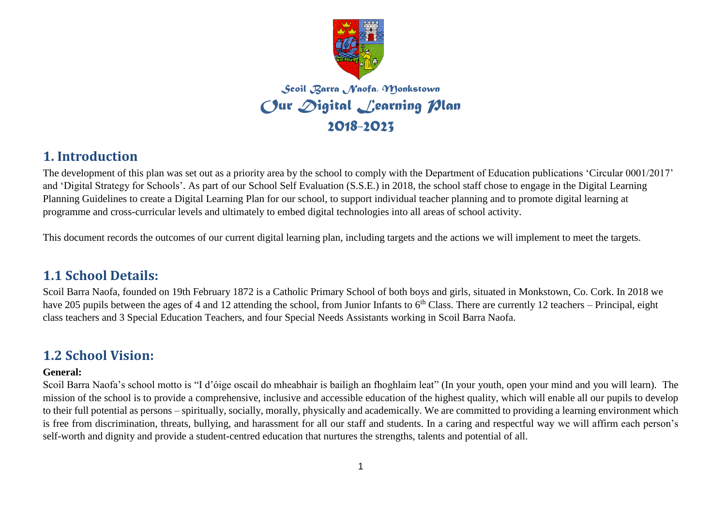

*Scoil Barra Naofa, Monkstown Our Digital Learning Plan 2018-2023*

### **1. Introduction**

The development of this plan was set out as a priority area by the school to comply with the Department of Education publications 'Circular 0001/2017' and 'Digital Strategy for Schools'. As part of our School Self Evaluation (S.S.E.) in 2018, the school staff chose to engage in the Digital Learning Planning Guidelines to create a Digital Learning Plan for our school, to support individual teacher planning and to promote digital learning at programme and cross-curricular levels and ultimately to embed digital technologies into all areas of school activity.

This document records the outcomes of our current digital learning plan, including targets and the actions we will implement to meet the targets.

## **1.1 School Details:**

Scoil Barra Naofa, founded on 19th February 1872 is a Catholic Primary School of both boys and girls, situated in Monkstown, Co. Cork. In 2018 we have 205 pupils between the ages of 4 and 12 attending the school, from Junior Infants to  $6<sup>th</sup>$  Class. There are currently 12 teachers – Principal, eight class teachers and 3 Special Education Teachers, and four Special Needs Assistants working in Scoil Barra Naofa.

## **1.2 School Vision:**

#### **General:**

Scoil Barra Naofa's school motto is "I d'óige oscail do mheabhair is bailigh an fhoghlaim leat" (In your youth, open your mind and you will learn). The mission of the school is to provide a comprehensive, inclusive and accessible education of the highest quality, which will enable all our pupils to develop to their full potential as persons – spiritually, socially, morally, physically and academically. We are committed to providing a learning environment which is free from discrimination, threats, bullying, and harassment for all our staff and students. In a caring and respectful way we will affirm each person's self-worth and dignity and provide a student-centred education that nurtures the strengths, talents and potential of all.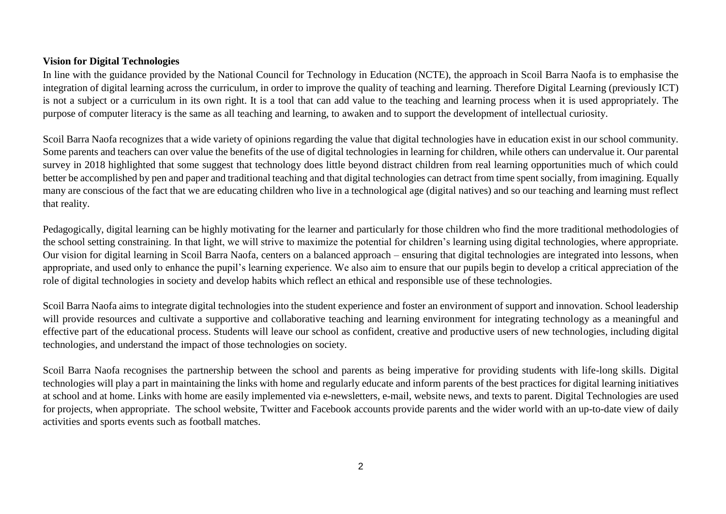#### **Vision for Digital Technologies**

In line with the guidance provided by the National Council for Technology in Education (NCTE), the approach in Scoil Barra Naofa is to emphasise the integration of digital learning across the curriculum, in order to improve the quality of teaching and learning. Therefore Digital Learning (previously ICT) is not a subject or a curriculum in its own right. It is a tool that can add value to the teaching and learning process when it is used appropriately. The purpose of computer literacy is the same as all teaching and learning, to awaken and to support the development of intellectual curiosity.

Scoil Barra Naofa recognizes that a wide variety of opinions regarding the value that digital technologies have in education exist in our school community. Some parents and teachers can over value the benefits of the use of digital technologies in learning for children, while others can undervalue it. Our parental survey in 2018 highlighted that some suggest that technology does little beyond distract children from real learning opportunities much of which could better be accomplished by pen and paper and traditional teaching and that digital technologies can detract from time spent socially, from imagining. Equally many are conscious of the fact that we are educating children who live in a technological age (digital natives) and so our teaching and learning must reflect that reality.

Pedagogically, digital learning can be highly motivating for the learner and particularly for those children who find the more traditional methodologies of the school setting constraining. In that light, we will strive to maximize the potential for children's learning using digital technologies, where appropriate. Our vision for digital learning in Scoil Barra Naofa, centers on a balanced approach – ensuring that digital technologies are integrated into lessons, when appropriate, and used only to enhance the pupil's learning experience. We also aim to ensure that our pupils begin to develop a critical appreciation of the role of digital technologies in society and develop habits which reflect an ethical and responsible use of these technologies.

Scoil Barra Naofa aims to integrate digital technologies into the student experience and foster an environment of support and innovation. School leadership will provide resources and cultivate a supportive and collaborative teaching and learning environment for integrating technology as a meaningful and effective part of the educational process. Students will leave our school as confident, creative and productive users of new technologies, including digital technologies, and understand the impact of those technologies on society.

Scoil Barra Naofa recognises the partnership between the school and parents as being imperative for providing students with life-long skills. Digital technologies will play a part in maintaining the links with home and regularly educate and inform parents of the best practices for digital learning initiatives at school and at home. Links with home are easily implemented via e-newsletters, e-mail, website news, and texts to parent. Digital Technologies are used for projects, when appropriate. The school website, Twitter and Facebook accounts provide parents and the wider world with an up-to-date view of daily activities and sports events such as football matches.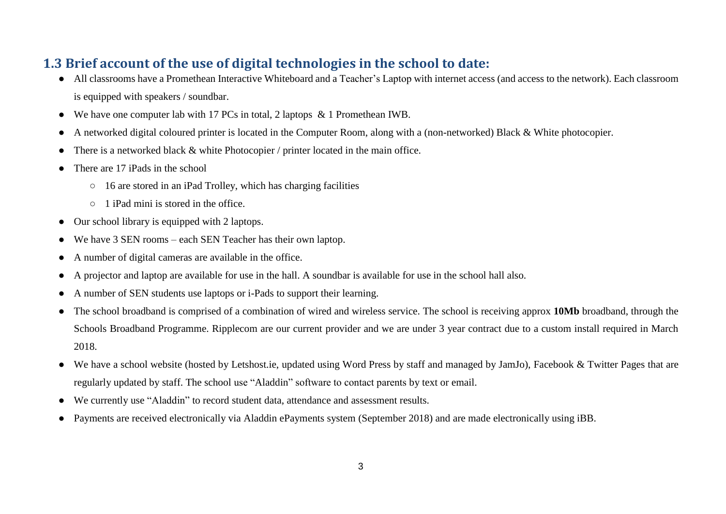# **1.3 Brief account of the use of digital technologies in the school to date:**

- All classrooms have a Promethean Interactive Whiteboard and a Teacher's Laptop with internet access (and access to the network). Each classroom is equipped with speakers / soundbar.
- We have one computer lab with 17 PCs in total, 2 laptops  $\&$  1 Promethean IWB.
- A networked digital coloured printer is located in the Computer Room, along with a (non-networked) Black & White photocopier.
- There is a networked black & white Photocopier / printer located in the main office.
- There are 17 iPads in the school
	- 16 are stored in an iPad Trolley, which has charging facilities
	- 1 iPad mini is stored in the office.
- Our school library is equipped with 2 laptops.
- We have 3 SEN rooms each SEN Teacher has their own laptop.
- A number of digital cameras are available in the office.
- A projector and laptop are available for use in the hall. A soundbar is available for use in the school hall also.
- A number of SEN students use laptops or i-Pads to support their learning.
- The school broadband is comprised of a combination of wired and wireless service. The school is receiving approx **10Mb** broadband, through the Schools Broadband Programme. Ripplecom are our current provider and we are under 3 year contract due to a custom install required in March 2018.
- We have a school website (hosted by Letshost.ie, updated using Word Press by staff and managed by JamJo), Facebook & Twitter Pages that are regularly updated by staff. The school use "Aladdin" software to contact parents by text or email.
- We currently use "Aladdin" to record student data, attendance and assessment results.
- Payments are received electronically via Aladdin ePayments system (September 2018) and are made electronically using iBB.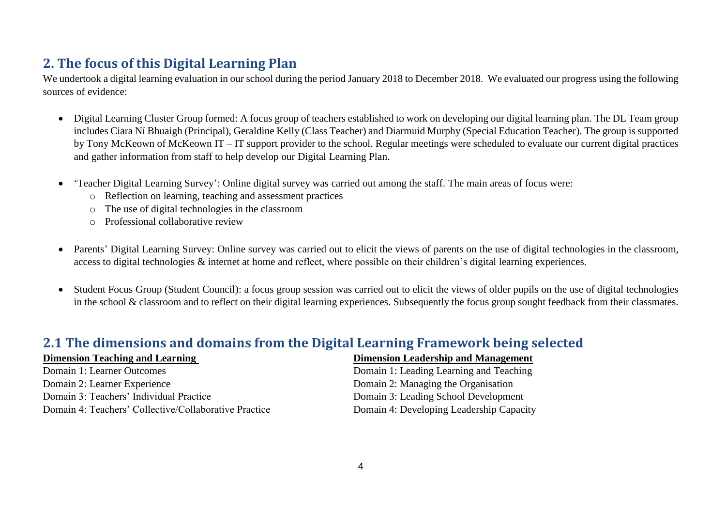# **2. The focus of this Digital Learning Plan**

We undertook a digital learning evaluation in our school during the period January 2018 to December 2018. We evaluated our progress using the following sources of evidence:

- Digital Learning Cluster Group formed: A focus group of teachers established to work on developing our digital learning plan. The DL Team group includes Ciara Ní Bhuaigh (Principal), Geraldine Kelly (Class Teacher) and Diarmuid Murphy (Special Education Teacher). The group is supported by Tony McKeown of McKeown IT – IT support provider to the school. Regular meetings were scheduled to evaluate our current digital practices and gather information from staff to help develop our Digital Learning Plan.
- 'Teacher Digital Learning Survey': Online digital survey was carried out among the staff. The main areas of focus were:
	- o Reflection on learning, teaching and assessment practices
	- o The use of digital technologies in the classroom
	- o Professional collaborative review
- Parents' Digital Learning Survey: Online survey was carried out to elicit the views of parents on the use of digital technologies in the classroom, access to digital technologies & internet at home and reflect, where possible on their children's digital learning experiences.
- Student Focus Group (Student Council): a focus group session was carried out to elicit the views of older pupils on the use of digital technologies in the school & classroom and to reflect on their digital learning experiences. Subsequently the focus group sought feedback from their classmates.

### **2.1 The dimensions and domains from the Digital Learning Framework being selected**

Domain 2: Learner Experience Domain 2: Managing the Organisation Domain 3: Teachers' Individual Practice Domain 3: Leading School Development Domain 4: Teachers' Collective/Collaborative Practice Domain 4: Developing Leadership Capacity

#### **Dimension Teaching and Learning Dimension Leadership and Management**

Domain 1: Learner Outcomes Domain 1: Leading Learning and Teaching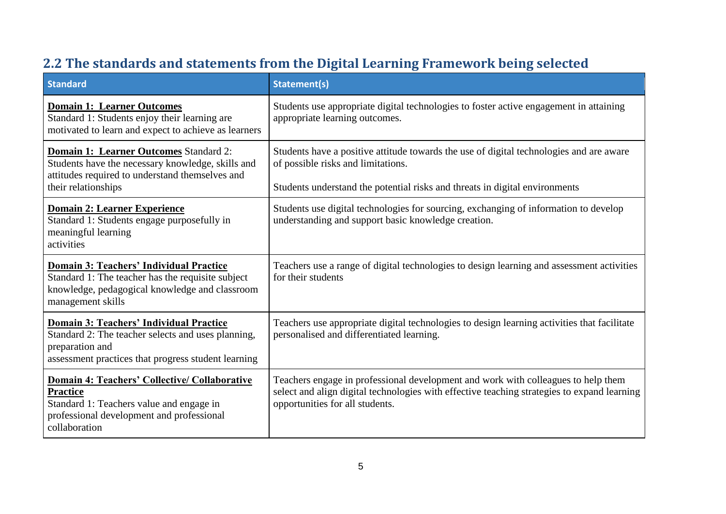| <b>Standard</b>                                                                                                                                                                   | <b>Statement(s)</b>                                                                                                                                                                                                 |
|-----------------------------------------------------------------------------------------------------------------------------------------------------------------------------------|---------------------------------------------------------------------------------------------------------------------------------------------------------------------------------------------------------------------|
| <b>Domain 1: Learner Outcomes</b><br>Standard 1: Students enjoy their learning are<br>motivated to learn and expect to achieve as learners                                        | Students use appropriate digital technologies to foster active engagement in attaining<br>appropriate learning outcomes.                                                                                            |
| <b>Domain 1: Learner Outcomes Standard 2:</b><br>Students have the necessary knowledge, skills and<br>attitudes required to understand themselves and<br>their relationships      | Students have a positive attitude towards the use of digital technologies and are aware<br>of possible risks and limitations.<br>Students understand the potential risks and threats in digital environments        |
| <b>Domain 2: Learner Experience</b><br>Standard 1: Students engage purposefully in<br>meaningful learning<br>activities                                                           | Students use digital technologies for sourcing, exchanging of information to develop<br>understanding and support basic knowledge creation.                                                                         |
| <b>Domain 3: Teachers' Individual Practice</b><br>Standard 1: The teacher has the requisite subject<br>knowledge, pedagogical knowledge and classroom<br>management skills        | Teachers use a range of digital technologies to design learning and assessment activities<br>for their students                                                                                                     |
| <b>Domain 3: Teachers' Individual Practice</b><br>Standard 2: The teacher selects and uses planning,<br>preparation and<br>assessment practices that progress student learning    | Teachers use appropriate digital technologies to design learning activities that facilitate<br>personalised and differentiated learning.                                                                            |
| <b>Domain 4: Teachers' Collective/ Collaborative</b><br><b>Practice</b><br>Standard 1: Teachers value and engage in<br>professional development and professional<br>collaboration | Teachers engage in professional development and work with colleagues to help them<br>select and align digital technologies with effective teaching strategies to expand learning<br>opportunities for all students. |

# **2.2 The standards and statements from the Digital Learning Framework being selected**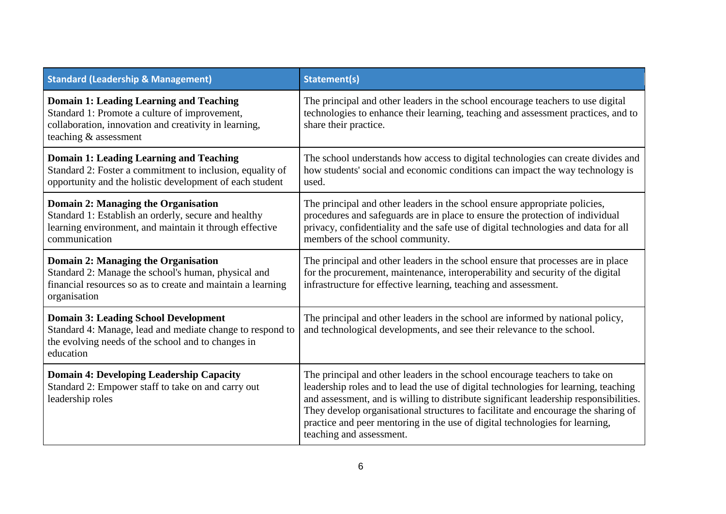| <b>Standard (Leadership &amp; Management)</b>                                                                                                                                     | <b>Statement(s)</b>                                                                                                                                                                                                                                                                                                                                                                                                                                          |
|-----------------------------------------------------------------------------------------------------------------------------------------------------------------------------------|--------------------------------------------------------------------------------------------------------------------------------------------------------------------------------------------------------------------------------------------------------------------------------------------------------------------------------------------------------------------------------------------------------------------------------------------------------------|
| <b>Domain 1: Leading Learning and Teaching</b><br>Standard 1: Promote a culture of improvement,<br>collaboration, innovation and creativity in learning,<br>teaching & assessment | The principal and other leaders in the school encourage teachers to use digital<br>technologies to enhance their learning, teaching and assessment practices, and to<br>share their practice.                                                                                                                                                                                                                                                                |
| <b>Domain 1: Leading Learning and Teaching</b><br>Standard 2: Foster a commitment to inclusion, equality of<br>opportunity and the holistic development of each student           | The school understands how access to digital technologies can create divides and<br>how students' social and economic conditions can impact the way technology is<br>used.                                                                                                                                                                                                                                                                                   |
| <b>Domain 2: Managing the Organisation</b><br>Standard 1: Establish an orderly, secure and healthy<br>learning environment, and maintain it through effective<br>communication    | The principal and other leaders in the school ensure appropriate policies,<br>procedures and safeguards are in place to ensure the protection of individual<br>privacy, confidentiality and the safe use of digital technologies and data for all<br>members of the school community.                                                                                                                                                                        |
| <b>Domain 2: Managing the Organisation</b><br>Standard 2: Manage the school's human, physical and<br>financial resources so as to create and maintain a learning<br>organisation  | The principal and other leaders in the school ensure that processes are in place<br>for the procurement, maintenance, interoperability and security of the digital<br>infrastructure for effective learning, teaching and assessment.                                                                                                                                                                                                                        |
| <b>Domain 3: Leading School Development</b><br>Standard 4: Manage, lead and mediate change to respond to<br>the evolving needs of the school and to changes in<br>education       | The principal and other leaders in the school are informed by national policy,<br>and technological developments, and see their relevance to the school.                                                                                                                                                                                                                                                                                                     |
| <b>Domain 4: Developing Leadership Capacity</b><br>Standard 2: Empower staff to take on and carry out<br>leadership roles                                                         | The principal and other leaders in the school encourage teachers to take on<br>leadership roles and to lead the use of digital technologies for learning, teaching<br>and assessment, and is willing to distribute significant leadership responsibilities.<br>They develop organisational structures to facilitate and encourage the sharing of<br>practice and peer mentoring in the use of digital technologies for learning,<br>teaching and assessment. |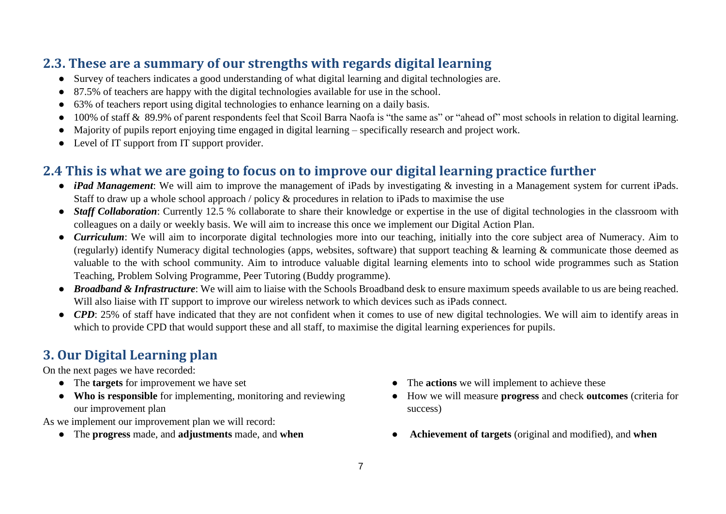# **2.3. These are a summary of our strengths with regards digital learning**

- Survey of teachers indicates a good understanding of what digital learning and digital technologies are.
- 87.5% of teachers are happy with the digital technologies available for use in the school.
- 63% of teachers report using digital technologies to enhance learning on a daily basis.
- 100% of staff & 89.9% of parent respondents feel that Scoil Barra Naofa is "the same as" or "ahead of" most schools in relation to digital learning.
- Majority of pupils report enjoying time engaged in digital learning specifically research and project work.
- Level of IT support from IT support provider.

# **2.4 This is what we are going to focus on to improve our digital learning practice further**

- *iPad Management*: We will aim to improve the management of iPads by investigating & investing in a Management system for current iPads. Staff to draw up a whole school approach / policy & procedures in relation to iPads to maximise the use
- *Staff Collaboration*: Currently 12.5 % collaborate to share their knowledge or expertise in the use of digital technologies in the classroom with colleagues on a daily or weekly basis. We will aim to increase this once we implement our Digital Action Plan.
- *Curriculum*: We will aim to incorporate digital technologies more into our teaching, initially into the core subject area of Numeracy. Aim to (regularly) identify Numeracy digital technologies (apps, websites, software) that support teaching & learning & communicate those deemed as valuable to the with school community. Aim to introduce valuable digital learning elements into to school wide programmes such as Station Teaching, Problem Solving Programme, Peer Tutoring (Buddy programme).
- *Broadband & Infrastructure*: We will aim to liaise with the Schools Broadband desk to ensure maximum speeds available to us are being reached. Will also liaise with IT support to improve our wireless network to which devices such as iPads connect.
- *CPD*: 25% of staff have indicated that they are not confident when it comes to use of new digital technologies. We will aim to identify areas in which to provide CPD that would support these and all staff, to maximise the digital learning experiences for pupils.

# **3. Our Digital Learning plan**

On the next pages we have recorded:

- 
- **Who is responsible** for implementing, monitoring and reviewing our improvement plan

As we implement our improvement plan we will record:

- 
- The **targets** for improvement we have set **•** The **actions** we will implement to achieve these
	- How we will measure **progress** and check **outcomes** (criteria for success)
- The **progress** made, and **adjustments** made, and **when Achievement of targets** (original and modified), and **when**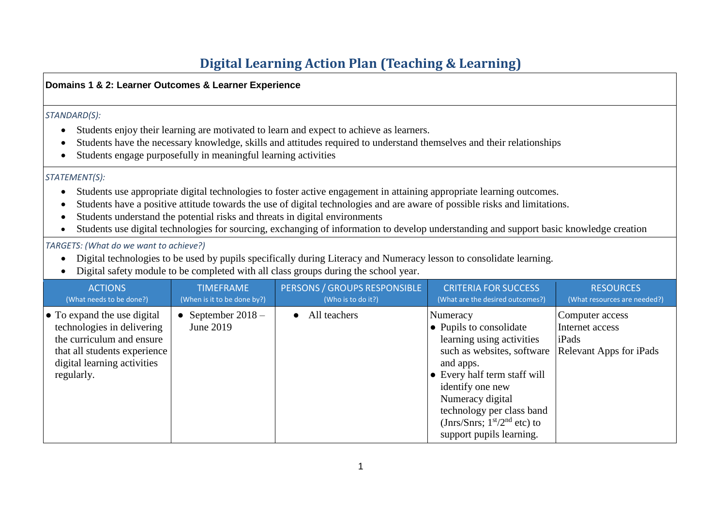# **Digital Learning Action Plan (Teaching & Learning)**

|                                                                                                                                                                                                                                                                                                                                                                                                                                                                                                                                                    | Domains 1 & 2: Learner Outcomes & Learner Experience                                                                                                                                                                                                 |                                                                |                                                                                                                                                                                                                                                                                                                                                                                                                                                                               |                                                                 |                                                  |  |
|----------------------------------------------------------------------------------------------------------------------------------------------------------------------------------------------------------------------------------------------------------------------------------------------------------------------------------------------------------------------------------------------------------------------------------------------------------------------------------------------------------------------------------------------------|------------------------------------------------------------------------------------------------------------------------------------------------------------------------------------------------------------------------------------------------------|----------------------------------------------------------------|-------------------------------------------------------------------------------------------------------------------------------------------------------------------------------------------------------------------------------------------------------------------------------------------------------------------------------------------------------------------------------------------------------------------------------------------------------------------------------|-----------------------------------------------------------------|--------------------------------------------------|--|
| $\bullet$                                                                                                                                                                                                                                                                                                                                                                                                                                                                                                                                          | STANDARD(S):<br>Students enjoy their learning are motivated to learn and expect to achieve as learners.                                                                                                                                              |                                                                |                                                                                                                                                                                                                                                                                                                                                                                                                                                                               |                                                                 |                                                  |  |
|                                                                                                                                                                                                                                                                                                                                                                                                                                                                                                                                                    |                                                                                                                                                                                                                                                      | Students engage purposefully in meaningful learning activities | Students have the necessary knowledge, skills and attitudes required to understand themselves and their relationships                                                                                                                                                                                                                                                                                                                                                         |                                                                 |                                                  |  |
|                                                                                                                                                                                                                                                                                                                                                                                                                                                                                                                                                    | STATEMENT(S):                                                                                                                                                                                                                                        |                                                                |                                                                                                                                                                                                                                                                                                                                                                                                                                                                               |                                                                 |                                                  |  |
| $\bullet$<br>$\bullet$                                                                                                                                                                                                                                                                                                                                                                                                                                                                                                                             |                                                                                                                                                                                                                                                      |                                                                | Students use appropriate digital technologies to foster active engagement in attaining appropriate learning outcomes.<br>Students have a positive attitude towards the use of digital technologies and are aware of possible risks and limitations.<br>Students understand the potential risks and threats in digital environments<br>Students use digital technologies for sourcing, exchanging of information to develop understanding and support basic knowledge creation |                                                                 |                                                  |  |
|                                                                                                                                                                                                                                                                                                                                                                                                                                                                                                                                                    | TARGETS: (What do we want to achieve?)<br>Digital technologies to be used by pupils specifically during Literacy and Numeracy lesson to consolidate learning.<br>Digital safety module to be completed with all class groups during the school year. |                                                                |                                                                                                                                                                                                                                                                                                                                                                                                                                                                               |                                                                 |                                                  |  |
|                                                                                                                                                                                                                                                                                                                                                                                                                                                                                                                                                    | <b>ACTIONS</b><br>(What needs to be done?)                                                                                                                                                                                                           | <b>TIMEFRAME</b><br>(When is it to be done by?)                | PERSONS / GROUPS RESPONSIBLE<br>(Who is to do it?)                                                                                                                                                                                                                                                                                                                                                                                                                            | <b>CRITERIA FOR SUCCESS</b><br>(What are the desired outcomes?) | <b>RESOURCES</b><br>(What resources are needed?) |  |
| All teachers<br>• To expand the use digital<br>• September $2018 -$<br>Numeracy<br>$\bullet$<br>technologies in delivering<br>June 2019<br>• Pupils to consolidate<br>Internet access<br>the curriculum and ensure<br>learning using activities<br>iPads<br>such as websites, software<br>that all students experience<br>digital learning activities<br>and apps.<br>• Every half term staff will<br>regularly.<br>identify one new<br>Numeracy digital<br>technology per class band<br>(Jnrs/Snrs; $1st/2nd$ etc) to<br>support pupils learning. |                                                                                                                                                                                                                                                      |                                                                |                                                                                                                                                                                                                                                                                                                                                                                                                                                                               | Computer access<br>Relevant Apps for iPads                      |                                                  |  |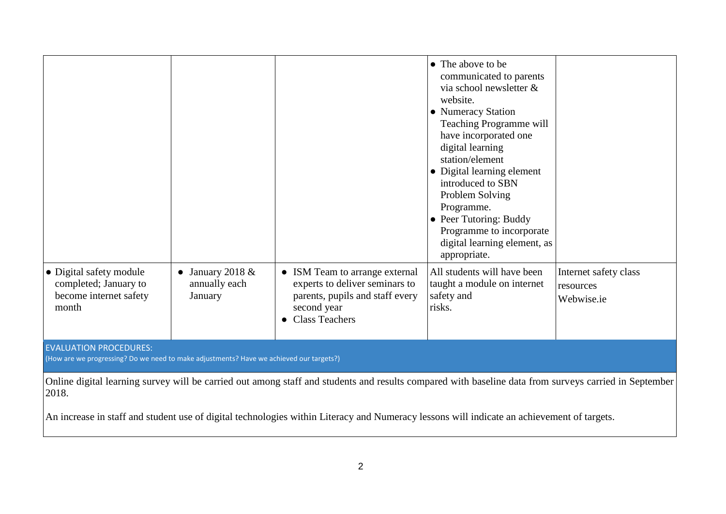|                                                                                                                                                                |                                              |                                                                                                                                             | • The above to be<br>communicated to parents<br>via school newsletter &<br>website.<br>• Numeracy Station<br>Teaching Programme will<br>have incorporated one<br>digital learning<br>station/element<br>• Digital learning element<br>introduced to SBN<br>Problem Solving<br>Programme.<br>• Peer Tutoring: Buddy<br>Programme to incorporate |                                                  |  |
|----------------------------------------------------------------------------------------------------------------------------------------------------------------|----------------------------------------------|---------------------------------------------------------------------------------------------------------------------------------------------|------------------------------------------------------------------------------------------------------------------------------------------------------------------------------------------------------------------------------------------------------------------------------------------------------------------------------------------------|--------------------------------------------------|--|
|                                                                                                                                                                |                                              |                                                                                                                                             | digital learning element, as<br>appropriate.                                                                                                                                                                                                                                                                                                   |                                                  |  |
| • Digital safety module<br>completed; January to<br>become internet safety<br>month                                                                            | January 2018 $&$<br>annually each<br>January | • ISM Team to arrange external<br>experts to deliver seminars to<br>parents, pupils and staff every<br>second year<br><b>Class Teachers</b> | All students will have been<br>taught a module on internet<br>safety and<br>risks.                                                                                                                                                                                                                                                             | Internet safety class<br>resources<br>Webwise.ie |  |
| <b>EVALUATION PROCEDURES:</b><br>(How are we progressing? Do we need to make adjustments? Have we achieved our targets?)                                       |                                              |                                                                                                                                             |                                                                                                                                                                                                                                                                                                                                                |                                                  |  |
| Online digital learning survey will be carried out among staff and students and results compared with baseline data from surveys carried in September<br>2018. |                                              |                                                                                                                                             |                                                                                                                                                                                                                                                                                                                                                |                                                  |  |
| An increase in staff and student use of digital technologies within Literacy and Numeracy lessons will indicate an achievement of targets.                     |                                              |                                                                                                                                             |                                                                                                                                                                                                                                                                                                                                                |                                                  |  |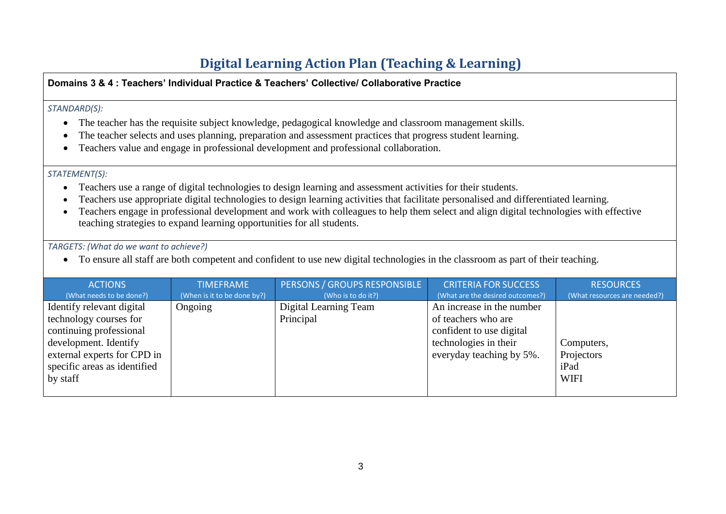# **Digital Learning Action Plan (Teaching & Learning)**

#### **Domains 3 & 4 : Teachers' Individual Practice & Teachers' Collective/ Collaborative Practice** *STANDARD(S):*  • The teacher has the requisite subject knowledge, pedagogical knowledge and classroom management skills. • The teacher selects and uses planning, preparation and assessment practices that progress student learning. • Teachers value and engage in professional development and professional collaboration. *STATEMENT(S):*  • Teachers use a range of digital technologies to design learning and assessment activities for their students. • Teachers use appropriate digital technologies to design learning activities that facilitate personalised and differentiated learning. • Teachers engage in professional development and work with colleagues to help them select and align digital technologies with effective teaching strategies to expand learning opportunities for all students. *TARGETS: (What do we want to achieve?)* • To ensure all staff are both competent and confident to use new digital technologies in the classroom as part of their teaching. **ACTIONS** (What needs to be done?) TIMEFRAME (When is it to be done by?) PERSONS / GROUPS RESPONSIBLE (Who is to do it?) CRITERIA FOR SUCCESS (What are the desired outcomes?) **RESOURCES** (What resources are needed?) Identify relevant digital technology courses for continuing professional development. Identify Ongoing Digital Learning Team Principal An increase in the number of teachers who are confident to use digital technologies in their Computers,

everyday teaching by 5%.

Projectors iPad **WIFI** 

external experts for CPD in specific areas as identified

by staff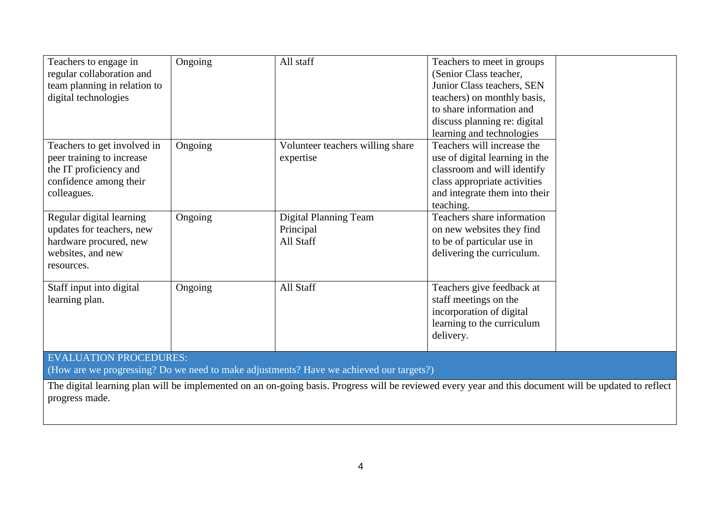| Teachers to engage in<br>regular collaboration and<br>team planning in relation to<br>digital technologies                  | Ongoing | All staff                                              | Teachers to meet in groups<br>(Senior Class teacher,<br>Junior Class teachers, SEN<br>teachers) on monthly basis,<br>to share information and<br>discuss planning re: digital<br>learning and technologies |  |  |
|-----------------------------------------------------------------------------------------------------------------------------|---------|--------------------------------------------------------|------------------------------------------------------------------------------------------------------------------------------------------------------------------------------------------------------------|--|--|
| Teachers to get involved in<br>peer training to increase<br>the IT proficiency and<br>confidence among their<br>colleagues. | Ongoing | Volunteer teachers willing share<br>expertise          | Teachers will increase the<br>use of digital learning in the<br>classroom and will identify<br>class appropriate activities<br>and integrate them into their<br>teaching.                                  |  |  |
| Regular digital learning<br>updates for teachers, new<br>hardware procured, new<br>websites, and new<br>resources.          | Ongoing | <b>Digital Planning Team</b><br>Principal<br>All Staff | Teachers share information<br>on new websites they find<br>to be of particular use in<br>delivering the curriculum.                                                                                        |  |  |
| Staff input into digital<br>learning plan.                                                                                  | Ongoing | All Staff                                              | Teachers give feedback at<br>staff meetings on the<br>incorporation of digital<br>learning to the curriculum<br>delivery.                                                                                  |  |  |
| <b>EVALUATION PROCEDURES:</b><br>(How are we progressing? Do we need to make adjustments? Have we achieved our targets?)    |         |                                                        |                                                                                                                                                                                                            |  |  |

The digital learning plan will be implemented on an on-going basis. Progress will be reviewed every year and this document will be updated to reflect progress made.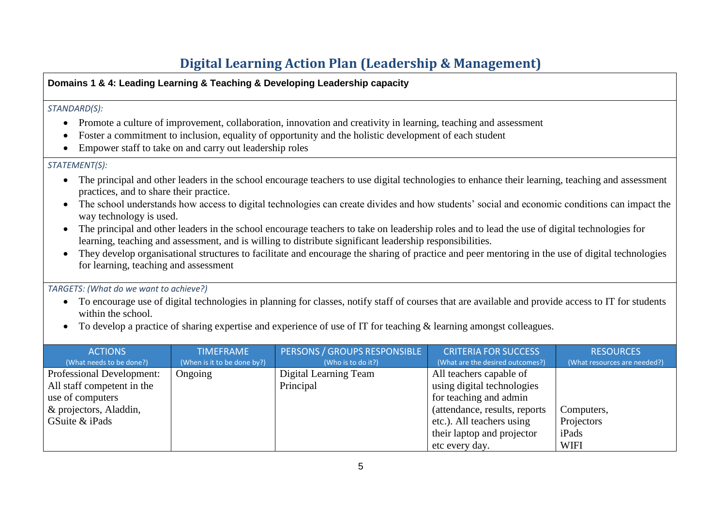# **Digital Learning Action Plan (Leadership & Management)**

#### **Domains 1 & 4: Leading Learning & Teaching & Developing Leadership capacity**

#### *STANDARD(S):*

- Promote a culture of improvement, collaboration, innovation and creativity in learning, teaching and assessment
- Foster a commitment to inclusion, equality of opportunity and the holistic development of each student
- Empower staff to take on and carry out leadership roles

#### *STATEMENT(S):*

- The principal and other leaders in the school encourage teachers to use digital technologies to enhance their learning, teaching and assessment practices, and to share their practice.
- The school understands how access to digital technologies can create divides and how students' social and economic conditions can impact the way technology is used.
- The principal and other leaders in the school encourage teachers to take on leadership roles and to lead the use of digital technologies for learning, teaching and assessment, and is willing to distribute significant leadership responsibilities.
- They develop organisational structures to facilitate and encourage the sharing of practice and peer mentoring in the use of digital technologies for learning, teaching and assessment

#### *TARGETS: (What do we want to achieve?)*

- To encourage use of digital technologies in planning for classes, notify staff of courses that are available and provide access to IT for students within the school.
- To develop a practice of sharing expertise and experience of use of IT for teaching & learning amongst colleagues.

| <b>ACTIONS</b>                   | <b>TIMEFRAME</b>            | PERSONS / GROUPS RESPONSIBLE | <b>CRITERIA FOR SUCCESS</b>      | <b>RESOURCES</b>             |
|----------------------------------|-----------------------------|------------------------------|----------------------------------|------------------------------|
| (What needs to be done?)         | (When is it to be done by?) | (Who is to do it?)           | (What are the desired outcomes?) | (What resources are needed?) |
| <b>Professional Development:</b> | Ongoing                     | Digital Learning Team        | All teachers capable of          |                              |
| All staff competent in the       |                             | Principal                    | using digital technologies       |                              |
| use of computers                 |                             |                              | for teaching and admin           |                              |
| & projectors, Aladdin,           |                             |                              | (attendance, results, reports)   | Computers,                   |
| GSuite & iPads                   |                             |                              | etc.). All teachers using        | Projectors                   |
|                                  |                             |                              | their laptop and projector       | iPads                        |
|                                  |                             |                              | etc every day.                   | <b>WIFI</b>                  |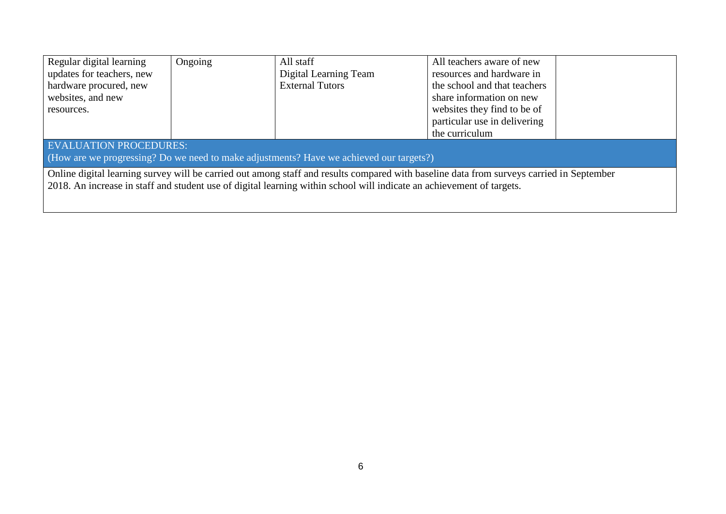| Regular digital learning                                                                                                                 | Ongoing | All staff              | All teachers aware of new    |  |  |  |
|------------------------------------------------------------------------------------------------------------------------------------------|---------|------------------------|------------------------------|--|--|--|
| updates for teachers, new                                                                                                                |         | Digital Learning Team  | resources and hardware in    |  |  |  |
| hardware procured, new                                                                                                                   |         | <b>External Tutors</b> | the school and that teachers |  |  |  |
| websites, and new                                                                                                                        |         |                        | share information on new     |  |  |  |
| resources.                                                                                                                               |         |                        | websites they find to be of  |  |  |  |
|                                                                                                                                          |         |                        | particular use in delivering |  |  |  |
|                                                                                                                                          |         |                        | the curriculum               |  |  |  |
| <b>EVALUATION PROCEDURES:</b>                                                                                                            |         |                        |                              |  |  |  |
| (How are we progressing? Do we need to make adjustments? Have we achieved our targets?)                                                  |         |                        |                              |  |  |  |
| Online digital learning survey will be carried out among staff and results compared with baseline data from surveys carried in September |         |                        |                              |  |  |  |
| 2018. An increase in staff and student use of digital learning within school will indicate an achievement of targets.                    |         |                        |                              |  |  |  |
|                                                                                                                                          |         |                        |                              |  |  |  |
|                                                                                                                                          |         |                        |                              |  |  |  |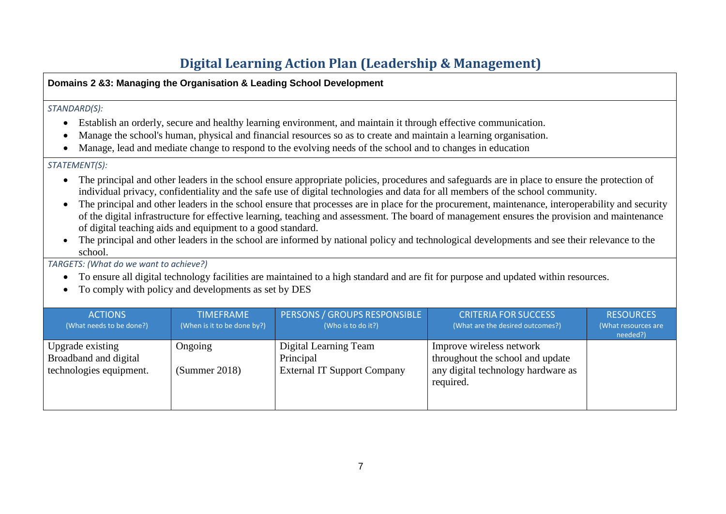# **Digital Learning Action Plan (Leadership & Management)**

#### **Domains 2 &3: Managing the Organisation & Leading School Development**

#### *STANDARD(S):*

- Establish an orderly, secure and healthy learning environment, and maintain it through effective communication.
- Manage the school's human, physical and financial resources so as to create and maintain a learning organisation.
- Manage, lead and mediate change to respond to the evolving needs of the school and to changes in education

#### *STATEMENT(S):*

- The principal and other leaders in the school ensure appropriate policies, procedures and safeguards are in place to ensure the protection of individual privacy, confidentiality and the safe use of digital technologies and data for all members of the school community.
- The principal and other leaders in the school ensure that processes are in place for the procurement, maintenance, interoperability and security of the digital infrastructure for effective learning, teaching and assessment. The board of management ensures the provision and maintenance of digital teaching aids and equipment to a good standard.
- The principal and other leaders in the school are informed by national policy and technological developments and see their relevance to the school.

*TARGETS: (What do we want to achieve?)*

- To ensure all digital technology facilities are maintained to a high standard and are fit for purpose and updated within resources.
- To comply with policy and developments as set by DES

| <b>ACTIONS</b><br>(What needs to be done?)                           | <b>TIMEFRAME</b><br>(When is it to be done by?) | PERSONS / GROUPS RESPONSIBLE<br>(Who is to do it?)                       | <b>CRITERIA FOR SUCCESS</b><br>(What are the desired outcomes?)                                                 | <b>RESOURCES</b><br>(What resources are<br>needed?) |
|----------------------------------------------------------------------|-------------------------------------------------|--------------------------------------------------------------------------|-----------------------------------------------------------------------------------------------------------------|-----------------------------------------------------|
| Upgrade existing<br>Broadband and digital<br>technologies equipment. | Ongoing<br>(Summer 2018)                        | Digital Learning Team<br>Principal<br><b>External IT Support Company</b> | Improve wireless network<br>throughout the school and update<br>any digital technology hardware as<br>required. |                                                     |